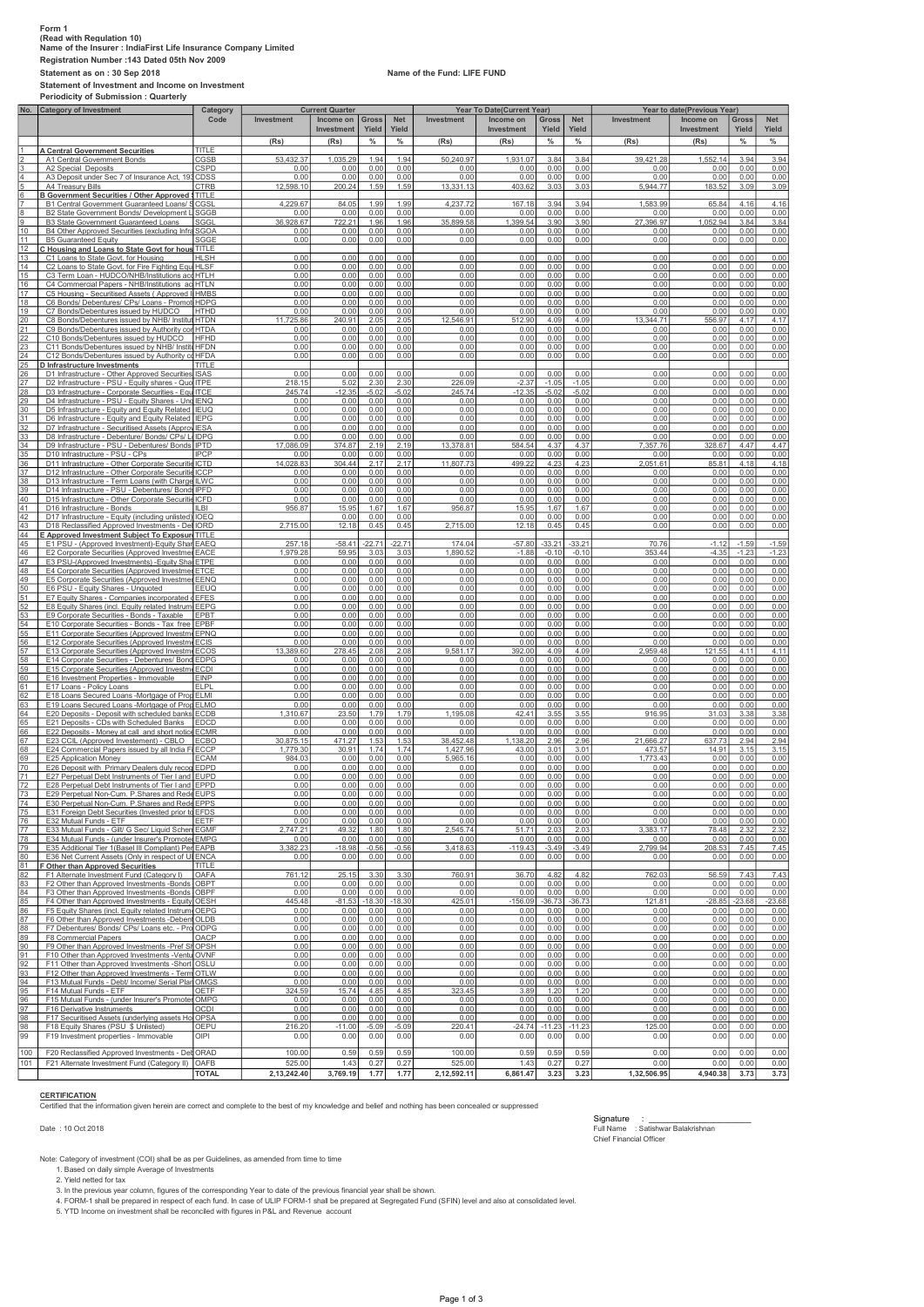## Form 1 (Read with Regulation 10) Name of the Insurer : IndiaFirst Life Insurance Company Limited Registration Number :143 Dated 05th Nov 2009 Statement as on : 30 Sep 2018 Name of the Fund: LIFE FUND

Statement of Investment and Income on Investment Periodicity of Submission : Quarterly

|                 |                                                                                                          |                     | <b>Current Quarter</b> |                  |                 |                 | Year To Date(Current Year) |                   |                 |                 | Year to date(Previous Year) |                |              |              |  |
|-----------------|----------------------------------------------------------------------------------------------------------|---------------------|------------------------|------------------|-----------------|-----------------|----------------------------|-------------------|-----------------|-----------------|-----------------------------|----------------|--------------|--------------|--|
|                 | No. Category of Investment                                                                               | Category<br>Code    | Investment             | Income on        | <b>Gross</b>    | <b>Net</b>      | Investment                 | Income on         | <b>Gross</b>    | <b>Net</b>      | Investment                  | Income on      | <b>Gross</b> | <b>Net</b>   |  |
|                 |                                                                                                          |                     |                        | Investment       | Yield           | Yield           |                            | Investment        | Yield           | Yield           |                             | Investment     | Yield        | Yield        |  |
|                 |                                                                                                          |                     | (Rs)                   | (Rs)             | $\%$            | $\%$            | (Rs)                       | (Rs)              | $\%$            | $\%$            | (Rs)                        | (Rs)           | $\%$         | $\%$         |  |
|                 | <b>A Central Government Securities</b>                                                                   | TITLE               |                        |                  |                 |                 |                            |                   |                 |                 |                             |                |              |              |  |
|                 | A1 Central Government Bonds                                                                              | CGSB                | 53,432.37              | 1,035.29         | 1.94            | 1.94            | 50,240.97                  | 1,931.07          | 3.84            | 3.84            | 39,421.28                   | 1,552.14       | 3.94         | 3.94         |  |
|                 | A2 Special Deposits                                                                                      | <b>CSPD</b>         | 0.00                   | 0.00             | 0.00            | 0.00            | 0.00                       | 0.00              | 0.00            | 0.00            | 0.00                        | 0.00           | 0.00         | 0.00         |  |
|                 | A3 Deposit under Sec 7 of Insurance Act, 193 CDSS                                                        |                     | 0.00                   | 0.00             | 0.00            | 0.00            | 0.00                       | 0.00              | 0.00            | 0.00            | 0.00                        | 0.00           | 0.00         | 0.00         |  |
|                 | A4 Treasury Bills                                                                                        | <b>CTRB</b>         | 12,598.10              | 200.24           | 1.59            | 1.59            | 13.331.13                  | 403.62            | 3.03            | 3.03            | 5,944.77                    | 183.52         | 3.09         | 3.09         |  |
|                 | B Government Securities / Other Approved : TITLE                                                         |                     | 4.229.67               |                  |                 |                 |                            |                   |                 |                 |                             |                |              |              |  |
|                 | B1 Central Government Guaranteed Loans/<br>B2 State Government Bonds/ Development                        | CGSL<br><b>SGGB</b> | 0.00                   | 84.05<br>0.00    | 1.99<br>0.00    | 1.99<br>0.00    | 4,237.72<br>0.00           | 167.18<br>0.00    | 3.94<br>0.00    | 3.94<br>0.00    | 1,583.99<br>0.00            | 65.84<br>0.00  | 4.16<br>0.00 | 4.16<br>0.00 |  |
| 9               | B3 State Government Guaranteed Loans                                                                     | SGGL                | 36,928.67              | 722.21           | 1.96            | 1.96            | 35,899.58                  | 1,399.54          | 3.90            | 3.90            | 27,396.97                   | 1,052.94       | 3.84         | 3.84         |  |
| 10              | B4 Other Approved Securities (excluding Infr.                                                            | SGOA                | 0.00                   | 0.00             | 0.00            | 0.00            | 0.00                       | 0.00              | 0.00            | 0.00            | 0.00                        | 0.00           | 0.00         | 0.00         |  |
| 11              | <b>B5 Guaranteed Equity</b>                                                                              | SGGE                | 0.00                   | 0.00             | 0.00            | 0.00            | 0.00                       | 0.00              | 0.00            | 0.00            | 0.00                        | 0.00           | 0.00         | 0.00         |  |
| 12              | C Housing and Loans to State Govt for hous TITLE                                                         |                     |                        |                  |                 |                 |                            |                   |                 |                 |                             |                |              |              |  |
| <u>13</u>       | C1 Loans to State Govt. for Housing                                                                      | <b>HLSH</b>         | 0.00                   | 0.00             | 0.00            | 0.00            | 0.00                       | 0.00              | 0.00            | 0.00            | 0.00                        | 0.00           | 0.00         | 0.00         |  |
| 14              | C2 Loans to State Govt. for Fire Fighting Equ                                                            | <b>HLSF</b>         | 0.00                   | 0.00             | 0.00            | 0.00            | 0.00                       | 0.00              | 0.00            | 0.00            | 0.00                        | 0.00           | 0.00         | 0.00         |  |
| 15              | C3 Term Loan - HUDCO/NHB/Institutions ac                                                                 | Інтін               | 0.00                   | 0.00             | 0.00            | 0.00            | 0.00                       | 0.00              | 0.00            | 0.00            | 0.00                        | 0.00           | 0.00         | 0.00         |  |
| 16              | C4 Commercial Papers - NHB/Institutions acHTLN                                                           | Il HMBS             | 0.00<br>0.00           | 0.00<br>0.00     | 0.00<br>0.00    | 0.00<br>0.00    | 0.00<br>0.00               | 0.00<br>0.00      | 0.00<br>0.00    | 0.00<br>0.00    | 0.00<br>0.00                | 0.00<br>0.00   | 0.00<br>0.00 | 0.00         |  |
| 17<br>18        | C5 Housing - Securitised Assets (Approved<br>C6 Bonds/ Debentures/ CPs/ Loans - Promo                    | <b>HDPG</b>         | 0.00                   | 0.00             | 0.00            | 0.00            | 0.00                       | 0.00              | 0.00            | 0.00            | 0.00                        | 0.00           | 0.00         | 0.00<br>0.00 |  |
| 19              | C7 Bonds/Debentures issued by HUDCO                                                                      | <b>HTHD</b>         | 0.00                   | 0.00             | 0.00            | 0.00            | 0.00                       | 0.00              | 0.00            | 0.00            | 0.00                        | 0.00           | 0.00         | 0.00         |  |
| $\overline{20}$ | C8 Bonds/Debentures issued by NHB/ Institu                                                               | <b>HTDN</b>         | 11.725.86              | 240.91           | 2.05            | 2.05            | 12,546.91                  | 512.90            | 4.09            | 4.09            | 13,344.71                   | 556.97         | 4.17         | 4.17         |  |
|                 | C9 Bonds/Debentures issued by Authority cor HTDA                                                         |                     | 0.00                   | 0.00             | 0.00            | 0.00            | 0.00                       | 0.00              | 0.00            | 0.00            | 0.00                        | 0.00           | 0.00         | 0.00         |  |
| $\frac{21}{22}$ | C10 Bonds/Debentures issued by HUDCO                                                                     | HFHD                | 0.00                   | 0.00             | 0.00            | 0.00            | 0.00                       | 0.00              | 0.00            | 0.00            | 0.00                        | 0.00           | 0.00         | 0.00         |  |
| $_{23}$         | C11 Bonds/Debentures issued by NHB/ InstitutHFDN                                                         |                     | 0.00                   | 0.00             | 0.00            | 0.00            | 0.00                       | 0.00              | 0.00            | 0.00            | 0.00                        | 0.00           | 0.00         | 0.00         |  |
| $\frac{24}{25}$ | C12 Bonds/Debentures issued by Authority co HFDA                                                         |                     | 0.00                   | 0.00             | 0.00            | 0.00            | 0.00                       | 0.00              | 0.00            | 0.00            | 0.00                        | 0.00           | 0.00         | 0.00         |  |
|                 | D Infrastructure Investments                                                                             | <b>TITLE</b>        | 0.00                   |                  | 0.00            | 0.00            | 0.00                       | 0.00              |                 | 0.00            | 0.00                        | 0.00           | 0.00         | 0.00         |  |
| $\overline{26}$ | D1 Infrastructure - Other Approved Securities ISAS<br>D2 Infrastructure - PSU - Equity shares - Quo ITPE |                     | 218.15                 | 0.00<br>5.02     | 2.3C            | 2.30            | 226.09                     | $-2.37$           | 0.00<br>$-1.05$ | $-1.05$         | 0.00                        | 0.00           | 0.00         | 0.00         |  |
| 27<br>28        | D3 Infrastructure - Corporate Securities - Equ ITCE                                                      |                     | 245.74                 | $-12.35$         | $-5.02$         | $-5.02$         | 245.74                     | $-12.35$          | $-5.02$         | $-5.02$         | 0.00                        | 0.00           | 0.00         | 0.00         |  |
| <u>29</u>       | D4 Infrastructure - PSU - Equity Shares - Und IENQ                                                       |                     | 0.00                   | 0.00             | 0.00            | 0.00            | 0.00                       | 0.00              | 0.00            | 0.00            | 0.00                        | 0.00           | 0.00         | 0.00         |  |
|                 | D5 Infrastructure - Equity and Equity Related IEUQ                                                       |                     | 0.00                   | 0.00             | 0.00            | 0.00            | 0.00                       | 0.00              | 0.00            | 0.00            | 0.00                        | 0.00           | 0.00         | 0.00         |  |
| $\frac{30}{31}$ | D6 Infrastructure - Equity and Equity Related IEPG                                                       |                     | 0.00                   | 0.00             | 0.00            | 0.00            | 0.00                       | 0.00              | 0.00            | 0.00            | 0.00                        | 0.00           | 0.00         | 0.00         |  |
| $\overline{32}$ | D7 Infrastructure - Securitised Assets (Approv IESA                                                      |                     | 0.00                   | 0.00             | 0.00            | 0.00            | 0.00                       | 0.00              | 0.00            | 0.00            | 0.00                        | 0.00           | 0.00         | 0.00         |  |
| 33              | D8 Infrastructure - Debenture/ Bonds/ CPs/ LI IDPG                                                       |                     | 0.00                   | 0.00             | 0.00            | 0.00            | 0.00                       | 0.00              | 0.00            | 0.00            | 0.00                        | 0.00           | 0.00         | 0.00         |  |
| 34              | D9 Infrastructure - PSU - Debentures/ Bonds IPTD                                                         | <b>IPCP</b>         | 17.086.09              | 374.87           | 2.19            | 2.19            | 13.378.81                  | 584.54            | 4.37            | 4.37            | 7.357.76                    | 328.67         | 4.47         | 4.47         |  |
| 35              | D10 Infrastructure - PSU - CPs<br>D11 Infrastructure - Other Corporate Securitie ICTD                    |                     | 0.00<br>14.028.83      | 0.00<br>304.44   | 0.00<br>2.17    | 0.00<br>2.17    | 0.00<br>11.807.73          | 0.00<br>499.22    | 0.00<br>4.23    | 0.00<br>4.23    | 0.00<br>2,051.61            | 0.00<br>85.81  | 0.00<br>4.18 | 0.00<br>4.18 |  |
| <u>36</u>       | D12 Infrastructure - Other Corporate Securitie ICCP                                                      |                     | 0.00                   | 0.00             | 0.00            | 0.00            | 0.00                       | 0.00              | 0.00            | 0.00            | 0.00                        | 0.00           | 0.00         | 0.00         |  |
|                 | D13 Infrastructure - Term Loans (with Charge ILWC                                                        |                     | 0.00                   | 0.00             | 0.00            | 0.00            | 0.00                       | 0.00              | 0.00            | 0.00            | 0.00                        | 0.00           | 0.00         | 0.00         |  |
| 37<br>38<br>39  | D14 Infrastructure - PSU - Debentures/ Bond: IPFD                                                        |                     | 0.00                   | 0.00             | 0.00            | 0.00            | 0.00                       | 0.00              | 0.00            | 0.00            | 0.00                        | 0.00           | 0.00         | 0.00         |  |
| 40              | D15 Infrastructure - Other Corporate Securitie ICFD                                                      |                     | 0.00                   | 0.00             | 0.00            | 0.00            | 0.00                       | 0.00              | 0.00            | 0.00            | 0.00                        | 0.00           | 0.00         | 0.00         |  |
| 41              | D16 Infrastructure - Bonds                                                                               | IL BI               | 956.87                 | 15.95            | 1.67            | 1.67            | 956.87                     | 15.95             | 1.67            | 1.67            | 0.00                        | 0.00           | 0.00         | 0.00         |  |
| 42              | D17 Infrastructure - Equity (including unlisted                                                          | <b>IOEC</b>         |                        | 0.00             | 0.00            | 0.00            |                            | 0.00              | 0.00            | 0.00            | 0.00                        | 0.00           | 0.00         | 0.00         |  |
| 43              | D18 Reclassified Approved Investments - De                                                               | <b>IORD</b>         | 2,715.00               | 12.18            | 0.45            | 0.45            | 2,715.00                   | 12.18             | 0.45            | 0.45            | 0.00                        | 0.00           | 0.00         | 0.00         |  |
| 44              | E Approved Investment Subject To Exposure                                                                | ititle              | 257.18                 | $-58.41$         | 22.71           | 22.71           | 174.04                     | $-57.80$          | $-33.21$        | 33.21           | 70.76                       | $-1.12$        | $-1.59$      | $-1.59$      |  |
| 45<br>46        | E1 PSU - (Approved Investment)-Equity Share<br>E2 Corporate Securities (Approved Investmer EACE          | EAEQ                | 1.979.28               | 59.95            | 3.03            | 3.03            | 1.890.52                   | $-1.88$           | $-0.10$         | $-0.10$         | 353.44                      | $-4.35$        | $-1.23$      | $-1.23$      |  |
| 47              | E3 PSU-(Approved Investments) - Equity Shal ETPE                                                         |                     | 0.00                   | 0.00             | 0.00            | 0.00            | 0.00                       | 0.00              | 0.00            | 0.00            | 0.00                        | 0.00           | 0.00         | 0.00         |  |
| 48              | E4 Corporate Securities (Approved Investmer ETCE                                                         |                     | 0.00                   | 0.00             | 0.00            | 0.00            | 0.00                       | 0.00              | 0.00            | 0.00            | 0.00                        | 0.00           | 0.00         | 0.00         |  |
| 49<br>50        | E5 Corporate Securities (Approved Investmer EENQ                                                         |                     | 0.00                   | 0.00             | 0.00            | 0.00            | 0.00                       | 0.00              | 0.00            | 0.00            | 0.00                        | 0.00           | 0.00         | 0.00         |  |
|                 | E6 PSU - Equity Shares - Unquoted                                                                        | EEUQ                | 0.00                   | 0.00             | 0.00            | 0.00            | 0.00                       | 0.00              | 0.00            | 0.00            | 0.00                        | 0.00           | 0.00         | 0.00         |  |
| $\frac{51}{52}$ | E7 Equity Shares - Companies incorporated                                                                | EFES                | 0.00                   | 0.00             | 0.00            | 0.00            | 0.00                       | 0.00              | 0.00            | 0.00            | 0.00                        | 0.00           | 0.00         | 0.00         |  |
|                 | E8 Equity Shares (incl. Equity related Instrum                                                           | <b>EEPG</b>         | 0.00<br>0.00           | 0.00<br>0.00     | 0.00<br>0.00    | 0.00<br>0.00    | 0.00<br>0.00               | 0.00<br>0.00      | 0.00<br>0.00    | 0.00<br>0.00    | 0.00<br>0.00                | 0.00<br>0.00   | 0.00<br>0.00 | 0.00<br>0.00 |  |
|                 | E9 Corporate Securities - Bonds - Taxable<br>E10 Corporate Securities - Bonds - Tax free                 | EPBT<br><b>EPBF</b> | 0.00                   | 0.00             | 0.00            | 0.00            | 0.00                       | 0.00              | 0.00            | 0.00            | 0.00                        | 0.00           | 0.00         | 0.00         |  |
| 54              | E11 Corporate Securities (Approved Investm                                                               | EPNQ                | 0.00                   | 0.00             | 0.00            | 0.00            | 0.00                       | 0.00              | 0.00            | 0.00            | 0.00                        | 0.00           | 0.00         | 0.00         |  |
| 55<br>56        | E12 Corporate Securities (Approved Investm                                                               | <b>ECIS</b>         | 0.00                   | 0.00             | 0.00            | 0.00            | 0.00                       | 0.00              | 0.00            | 0.00            | 0.00                        | 0.00           | 0.00         | 0.00         |  |
| 57              | E13 Corporate Securities (Approved Investme                                                              | ECOS                | 13,389.60              | 278.45           | 2.08            | 2.08            | 9,581.17                   | 392.00            | 4.09            | 4.09            | 2,959.48                    | 121.55         | 4.11         | 4.11         |  |
| 58              | E14 Corporate Securities - Debentures/ Bond EDPG                                                         |                     | 0.00                   | 0.00             | 0.00            | 0.00            | 0.00                       | 0.00              | 0.00            | 0.00            | 0.00                        | 0.00           | 0.00         | 0.00         |  |
| 59              | E15 Corporate Securities (Approved Investme ECDI                                                         |                     | 0.00                   | 0.00             | 0.00            | 0.00            | 0.00                       | 0.00              | 0.00            | 0.00            | 0.00                        | 0.00           | 0.00         | 0.00         |  |
| 60              | E16 Investment Properties - Immovable                                                                    | <b>FINP</b>         | 0.00                   | 0.00             | 0.00            | 0.00            | 0.00                       | 0.00              | 0.00            | 0.00            | 0.00                        | 0.00           | 0.00         | 0.00         |  |
| 61              | E17 Loans - Policy Loans                                                                                 | ELPL                | 0.00                   | 0.00             | 0.00            | 0.00            | 0.00                       | 0.00              | 0.00            | 0.00            | 0.00                        | 0.00           | 0.00         | 0.00         |  |
| 62<br>63        | E18 Loans Secured Loans -Mortgage of Prop ELMI<br>E19 Loans Secured Loans -Mortgage of Prop ELMO         |                     | 0.00<br>0.00           | 0.00<br>0.00     | 0.00<br>0.00    | 0.00<br>0.00    | 0.00<br>0.00               | 0.00<br>0.00      | 0.00<br>0.00    | 0.00<br>0.00    | 0.00<br>0.00                | 0.00<br>0.00   | 0.00<br>0.00 | 0.00<br>0.00 |  |
| 64              | E20 Deposits - Deposit with scheduled banks                                                              | ECDB                | 1,310.67               | 23.50            | 1.79            | 1.79            | 1,195.08                   | 42.41             | 3.55            | 3.55            | 916.95                      | 31.03          | 3.38         | 3.38         |  |
| 65              | E21 Deposits - CDs with Scheduled Banks                                                                  | <b>EDCD</b>         | 0.00                   | 0.00             | 0.00            | 0.00            | 0.00                       | 0.00              | 0.00            | 0.00            | 0.00                        | 0.00           | 0.00         | 0.00         |  |
| 66              | E22 Deposits - Money at call and short notic                                                             | <b>ECMR</b>         | 0.00                   | 0.00             | 0.00            | 0.00            | 0.00                       | 0.00              | 0.00            | 0.00            | 0.00                        | 0.00           | 0.00         | 0.00         |  |
| 67              | E23 CCIL (Approved Investement) - CBLO                                                                   | <b>ECBO</b>         | 30,875.15              | 471.27           | 1.53            | 1.53            | 38,452.48                  | 1,138.20          | 2.96            | 2.96            | 21,666.27                   | 637.73         | 2.94         | 2.94         |  |
| 68              | E24 Commercial Papers issued by all India Fi ECCP                                                        |                     | 1,779.30               | 30.91            | 1.74            | 1.74            | 1,427.96                   | 43.00             | 3.01            | 3.01            | 473.57                      | 14.91          | 3.15         | 3.15         |  |
| 69              | E25 Application Money                                                                                    | <b>ECAM</b>         | 984.03                 | 0.00             | 0.00            | 0.00            | 5,965.16                   | 0.00              | 0.00            | 0.00            | 1,773.43                    | 0.00           | 0.00         | 0.00         |  |
| 70              | E26 Deposit with Primary Dealers duly recog<br>E27 Perpetual Debt Instruments of Tier I and EUPD         | EDPD                | 0.00<br>0.00           | 0.00<br>0.00     | 0.00<br>0.00    | 0.00<br>0.00    | 0.00<br>0.00               | 0.00<br>0.00      | 0.00<br>0.00    | 0.00<br>0.00    | 0.00<br>0.00                | 0.00<br>0.00   | 0.00<br>0.00 | 0.00<br>0.00 |  |
| $\frac{71}{72}$ | E28 Perpetual Debt Instruments of Tier I and EPPD                                                        |                     | 0.00                   | 0.00             | 0.00            | 0.00            | 0.00                       | 0.00              | 0.00            | 0.00            | 0.00                        | 0.00           | 0.00         | 0.00         |  |
| 73              | E29 Perpetual Non-Cum, P.Shares and Rede EUPS                                                            |                     | 0.00                   | 0.00             | 0.00            | 0.00            | 0.00                       | 0.00              | 0.00            | 0.00            | 0.00                        | 0.00           | 0.00         | 0.00         |  |
| 74              | E30 Perpetual Non-Cum. P.Shares and Rede EPPS                                                            |                     | 0.00                   | 0.00             | 0.00            | 0.00            | 0.00                       | 0.00              | 0.00            | 0.00            | 0.00                        | 0.00           | 0.00         | 0.00         |  |
| 75              | E31 Foreign Debt Securities (Invested prior to EFDS                                                      |                     | 0.00                   | 0.00             | 0.00            | 0.00            | 0.00                       | 0.00              | 0.00            | 0.00            | 0.00                        | 0.00           | 0.00         | 0.00         |  |
| 76<br>77        | E32 Mutual Funds - ETF                                                                                   | EETF                | 0.00                   | 0.00             | 0.00            | 0.00            | 0.00                       | 0.00              | 0.00            | 0.00            | 0.00                        | 0.00           | 0.00         | 0.00         |  |
|                 | E33 Mutual Funds - Gilt/ G Sec/ Liquid Schen EGMF                                                        |                     | 2,747.21               | 49.32            | 1.80            | 1.80            | 2,545.74                   | 51.71             | 2.03            | 2.03            | 3,383.17                    | 78.48          | 2.32         | 2.32         |  |
| 78              | E34 Mutual Funds - (under Insurer's Promotel EMPG<br>E35 Additional Tier 1(Basel III Compliant) Per EAPB |                     | 0.00<br>3,382.23       | 0.00<br>$-18.98$ | 0.00<br>$-0.56$ | 0.00<br>$-0.56$ | 0.00<br>3,418.63           | 0.00<br>$-119.43$ | 0.00<br>$-3.49$ | 0.00<br>$-3.49$ | 0.00<br>2,799.94            | 0.00<br>208.53 | 0.00<br>7.45 | 0.00<br>7.45 |  |
| 79<br>80        | E36 Net Current Assets (Only in respect of UI ENCA                                                       |                     | 0.00                   | 0.00             | 0.00            | 0.00            | 0.00                       | 0.00              | 0.00            | 0.00            | 0.00                        | 0.00           | 0.00         | 0.00         |  |
| 81              | F Other than Approved Securities                                                                         | TITLE               |                        |                  |                 |                 |                            |                   |                 |                 |                             |                |              |              |  |
| 82              | F1 Alternate Investment Fund (Category I)                                                                | OAFA                | 761.12                 | 25.15            | 3.30            | 3.30            | 760.91                     | 36.70             | 4.82            | 4.82            | 762.03                      | 56.59          | 7.43         | 7.43         |  |
| 83              | F2 Other than Approved Investments -Bonds OBPT                                                           |                     | 0.00                   | 0.00             | 0.00            | 0.00            | 0.00                       | 0.00              | 0.00            | 0.00            | 0.00                        | 0.00           | 0.00         | 0.00         |  |
| 84              | F3 Other than Approved Investments -Bonds OBPF                                                           |                     | 0.00                   | 0.00             | 0.00            | 0.00            | 0.00                       | 0.00              | 0.00            | 0.00            | 0.00                        | 0.00           | 0.00         | 0.00         |  |
| 85              | F4 Other than Approved Investments - Equity OESH                                                         |                     | 445.48                 | $-81.53$         | $-18.30$        | 18.30           | 425.01                     | $-156.09$         | 36.73           | 36.73           | 121.81                      | $-28.85$       | $-23.68$     | $-23.68$     |  |
| 86              | F5 Equity Shares (incl. Equity related Instrum OEPG                                                      |                     | 0.00                   | 0.00             | 0.00            | 0.00            | 0.00                       | 0.00              | 0.00            | 0.00            | 0.00                        | 0.00           | 0.00         | 0.00         |  |
| 87<br>88        | F6 Other than Approved Investments -Debent OLDB<br>F7 Debentures/ Bonds/ CPs/ Loans etc. - Pro ODPG      |                     | 0.00<br>0.00           | 0.00<br>0.00     | 0.00<br>0.00    | 0.00<br>0.00    | 0.00<br>0.00               | 0.00<br>0.00      | 0.00<br>0.00    | 0.00<br>0.00    | 0.00<br>0.00                | 0.00<br>0.00   | 0.00<br>0.00 | 0.00<br>0.00 |  |
| 89              | F8 Commercial Papers                                                                                     | OACP                | 0.00                   | 0.00             | 0.00            | 0.00            | 0.00                       | 0.00              | 0.00            | 0.00            | 0.00                        | 0.00           | 0.00         | 0.00         |  |
| 90              | F9 Other than Approved Investments - Pref SI OPSH                                                        |                     | 0.00                   | 0.00             | 0.00            | 0.00            | 0.00                       | 0.00              | 0.00            | 0.00            | 0.00                        | 0.00           | 0.00         | 0.00         |  |
| 91              | F10 Other than Approved Investments -Ventu OVNF                                                          |                     | 0.00                   | 0.00             | 0.00            | 0.00            | 0.00                       | 0.00              | 0.00            | 0.00            | 0.00                        | 0.00           | 0.00         | 0.00         |  |
| 92              | F11 Other than Approved Investments -Short                                                               | OSLU                | 0.00                   | 0.00             | 0.00            | 0.00            | 0.00                       | 0.00              | 0.00            | 0.00            | 0.00                        | 0.00           | 0.00         | 0.00         |  |
| 93              | F12 Other than Approved Investments - Term                                                               | IOTLW               | 0.00                   | 0.00             | 0.00            | 0.00            | 0.00                       | 0.00              | 0.00            | 0.00            | 0.00                        | 0.00           | 0.00         | 0.00         |  |
| 94              | F13 Mutual Funds - Debt/ Income/ Serial Plan OMGS                                                        |                     | 0.00                   | 0.00             | 0.00            | 0.00            | 0.00                       | 0.00              | 0.00            | 0.00            | 0.00                        | 0.00           | 0.00         | 0.00         |  |
| 95              | F14 Mutual Funds - ETF                                                                                   | OETF                | 324.59                 | 15.74            | 4.85            | 4.85            | 323.45                     | 3.89              | 1.20            | 1.20            | 0.00                        | 0.00           | 0.00         | 0.00         |  |
| 96              | F15 Mutual Funds - (under Insurer's Promoter OMPG<br>F16 Derivative Instruments                          | OCDI                | 0.00<br>0.00           | 0.00<br>0.00     | 0.00<br>0.00    | 0.00<br>0.00    | 0.00<br>0.00               | 0.00<br>0.00      | 0.00<br>0.00    | 0.00<br>0.00    | 0.00<br>0.00                | 0.00<br>0.00   | 0.00<br>0.00 | 0.00<br>0.00 |  |
| 97<br>98        | F17 Securitised Assets (underlying assets He                                                             | OPSA                | 0.00                   | 0.00             | 0.00            | 0.00            | 0.00                       | 0.00              | 0.00            | 0.00            | 0.00                        | 0.00           | 0.00         | 0.00         |  |
| 98              | F18 Equity Shares (PSU \$ Unlisted)                                                                      | <b>OEPU</b>         | 216.20                 | $-11.00$         | $-5.09$         | $-5.09$         | 220.41                     | $-24.74$          | $-11.23$        | $-11.23$        | 125.00                      | 0.00           | 0.00         | 0.00         |  |
| 99              | F19 Investment properties - Immovable                                                                    | OIPI                | 0.00                   | 0.00             | 0.00            | 0.00            | 0.00                       | 0.00              | 0.00            | 0.00            | 0.00                        | 0.00           | 0.00         | 0.00         |  |
|                 |                                                                                                          |                     |                        |                  |                 |                 |                            |                   |                 |                 |                             |                |              |              |  |
| 100             | F20 Reclassified Approved Investments - Det ORAD                                                         |                     | 100.00                 | 0.59             | 0.59            | 0.59            | 100.00                     | 0.59              | 0.59            | 0.59            | 0.00                        | 0.00           | 0.00         | 0.00         |  |
| 101             | F21 Alternate Investment Fund (Category II) OAFB                                                         |                     | 525.00                 | 1.43             | 0.27            | 0.27            | 525.00                     | 1.43              | 0.27            | 0.27            | 0.00                        | 0.00           | 0.00         | 0.00         |  |
|                 |                                                                                                          | <b>TOTAL</b>        | 2,13,242.40            | 3,769.19         | 1.77            | 1.77            | 2,12,592.11                | 6,861.47          | 3.23            | 3.23            | 1,32,506.95                 | 4,940.38       | 3.73         | 3.73         |  |

CERTIFICATION<br>Certified that the information given herein are correct and complete to the best of my knowledge and belief and nothing has been concealed or suppressed

Signature : يسعون : Signature : Satishwar Balakrishnan<br>Full Name : Satishwar Balakrishnan<br>Chief Financial Officer

Note: Category of investment (COI) shall be as per Guidelines, as amended from time to time 1. Based on daily simple Average of Investments

2. Yield netted for tax<br>3. In the previous year column, figures of the corresponding Year to date of the previous financial year shall be shown.<br>4. FORM-1 shall be prepared in respect of each fund. In case of ULIP FORM-1 s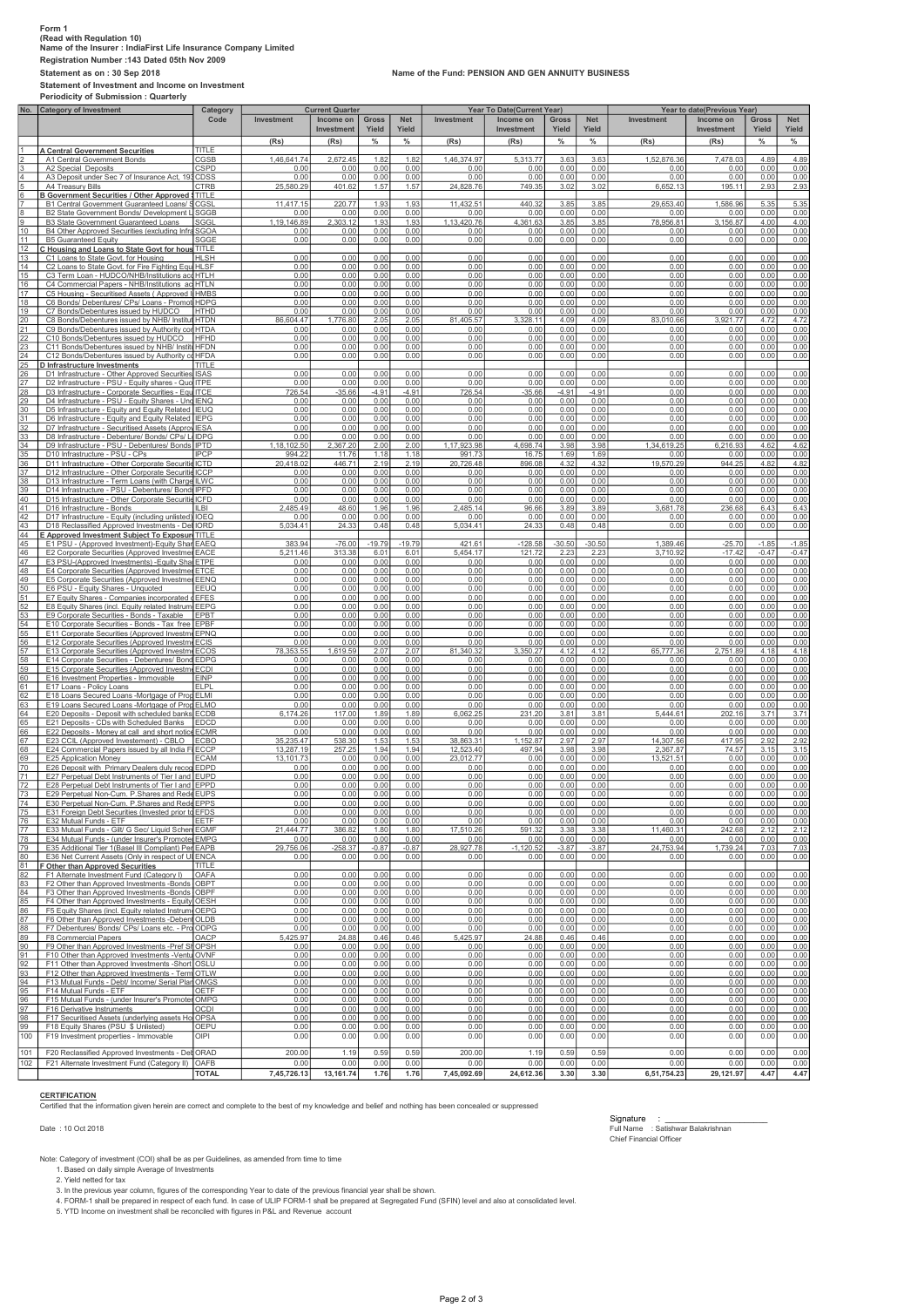### Form 1 (Read with Regulation 10) Name of the Insurer : IndiaFirst Life Insurance Company Limited Registration Number :143 Dated 05th Nov 2009 Statement as on : 30 Sep 2018 Name of the Fund: PENSION AND GEN ANNUITY BUSINESS Statement of Investment and Income on Investment

Periodicity of Submission : Quarterly Category of Investment **Investment**  Investment Gross Yield Net Yield Investment Investment Gross Yield Net Yield Investm Investment Gross Yield Net Yield (Rs) (Rs) % % (Rs) (Rs) % % (Rs) (Rs) % % 1 **A Central Government Securities** TITLE<br>
11 Central Government Bonds<br>
CGS 2 A1 Central Government Bonds 1,46,641.74 | 2,672.45 | 1.82 | 1.82 | 1,46,374.97 | 5,313.77 | 3.63 | 3.63 | 1,52,876.36 | 7,478.03 | 4.89 | 4.89 3 A2 Special Deposits CSPD 0.00 0.00 0.00 0.00 0.00 0.00 0.00 0.00 0.00 0.00 0.00 0.00 4 A3 Deposit under Sec 7 of Insurance Act, 1938CDSS 0.00 0.00 0.00 0.00 0.00 0.00 0.00 0.00 0.00 0.00 0.00 0.00 5 A4 Treasury Bills CTRB 25,580.29 401.62 1.57 1.57 24,828.76 749.35 3.02 3.02 6,652.13 195.11 2.93 2.93 **B Government Securities / Other Approved STITLE** 7 B1 Central Government Guaranteed Loans/ Special/ Non-SLR Bonds CGSL 11,417.15 220.77 1.93 1.93 11,432.51 440.32 3.85 3.85 29,653.40 1,586.96 5.35 5.35 8 B2 State Government Bonds/ Development Loans SGGB 0.00 0.00 0.00 0.00 0.00 0.00 0.00 0.00 0.00 0.00 0.00 0.00 9 B3 State Government Guaranteed Loans SGGL 1,19,146.89 2,303.12 1.93 1.93 1,13,420.76 4,361.63 3.85 3.85 78,956.81 3,156.87 4.00 4.00 10 B4 Other Approved Securities (excluding Infrastructure Investments) SGOA 0.00 0.00 0.00 0.00 0.00 0.00 0.00 0.00 0.00 0.00 0.00 0.00 11 B5 Guaranteed Equity SGGE 0.00 0.00 0.00 0.00 0.00 0.00 0.00 0.00 0.00 0.00 0.00 0.00 12 C Housing and Loans to State Govt for housing and fire fighting equipment TITLE 13 C1 Loans to State Govt. for Housing HLSH 0.00 0.00 0.00 0.00 0.00 0.00 0.00 0.00 0.00 0.00 0.00 0.00 14 C2 Loans to State Govt. for Fire Fighting Equipments HLSF 0.00 0.00 0.00 0.00 0.00 0.00 0.00 0.00 0.00 0.00 0.00 0.00 15 C3 Term Loan - HUDCO/NHB/Institutions accredited by NHB HTLH 0.00 0.00 0.00 0.00 0.00 0.00 0.00 0.00 0.00 0.00 0.00 0.00 16 C4 Commercial Papers - NHB/Institutions ac|HTLN 0.000 0.000 0.000 0.000 0.000 0.000 0.000 0.000 0.000 0.000 0.000 0.000 0.000 0.000 0.000 0.000 0.000 0.000 0.000 0.000 0.000 0.000 0.000 0.000 0.000 0.000 0.000 0.000 0.0 17 C5 Housing - Securitised Assets ( Approved Investment) HMBS 0.00 0.00 0.00 0.00 0.00 0.00 0.00 0.00 0.00 0.00 0.00 0.00 18 C6 Bonds/ Debentures/ CPs/ Loans - Promotor Group HDPG 0.00 0.00 0.00 0.00 0.00 0.00 0.00 0.00 0.00 0.00 0.00 0.00 19 C7 Bonds/Debentures issued by HUDCO HTHD 0.00 0.00 0.00 0.00 0.00 0.00 0.00 0.00 0.00 0.00 0.00 0.00 20 C8 Bonds/Debentures issued by NHB/ Institutions accredited by NHB HTDN 86,604.47 1,776.80 2.05 2.05 81,405.57 3,328.11 4.09 4.09 83,010.66 3,921.77 4.72 4.72 21 C9 Bonds/Debentures issued by Authority constituted under any Housing/Building scheme approved by Central/State/any Authority or Body constituted by Central/State Act. HTDA 0.00 0.00 0.00 0.00 0.00 0.00 0.00 0.00 0.00 0.00 0.00 0.00 22 C10 Bonds/Debentures issued by HUDCO HFHD 0.00 0.00 0.00 0.00 0.00 0.00 0.00 0.00 0.00 0.00 0.00 0.00 23 C11 Bonds/Debentures issued by NHB/Institute HPDN<br>24 C12 Bonds/Debentures issued by Authority of HFDN<br>25 **D Infrastructure Investments**<br>25 **D Infrastructure Poter Approved Securities [SAS | CO2 | CO2 | CO2 | CO2 | CO2 |** 28 D3 Infrastructure - Corporate Securities - Equity shares - Quoted ITCE 726.54 -35.66 -4.91 -4.91 726.54 -35.66 -4.91 -4.91 0.00 0.00 0.00 0.00 29 D4 Infrastructure - PSU - Equity Shares - Unquoted IENQ 0.00 0.00 0.00 0.00 0.00 0.00 0.00 0.00 0.00 0.00 0.00 0.00 <u>30 D5 Infrastructure - Equity and Equity Related | IEUQ | 0.00 | 0.00 | 0.00 | 0.00 | 0.00 | 0.00 | 0.00 | 0.00 | 0.00 | 0.00 | 0.00 | 0.00 | 0.00 | 0.00 | 0.00 | 0.00 | 0.00 | 0.00 | 0.00 | 0.00 | 0.00 | 0.00 | 0.00 | 0.</u> 32 D7 Infrastructure - Securitised Assets (Approved) IESA 0.00 0.00 0.00 0.00 0.00 0.00 0.00 0.00 0.00 0.00 0.00 0.00 33 D8 Infrastructure - Debenture/ Bonds/ CPs/ Loans - Promoter Group IDPG 0.00 0.00 0.00 0.00 0.00 0.00 0.00 0.00 0.00 0.00 0.00 0.00 34 D9 Infrastructure - PSU - Debentures/ Bonds IPTD 1,18,102.50 2,367.20 2.00 2.00 1,17,923.98 4,698.74 3.98 3.98 1,34,619.25 6,216.93 4.62 4.62 35 D10 Infrastructure - PSU - CPs IPCP 994.22 11.76 1.18 1.18 991.73 16.75 1.69 1.69 0.00 0.00 0.00 0.00 36 D11 Infrastructure - Other Corporate Securities- Debentures/ Bonds ICTD 20,418.02 446.71 2.19 2.19 20,726.48 896.08 4.32 4.32 19,570.29 944.25 4.82 4.82 37 D12 Infrastructure - Other Corporate Securities - CPs ICCP 0.00 0.00 0.00 0.00 0.00 0.00 0.00 0.00 0.00 0.00 0.00 0.00 38 D13 Infrastructure - Term Loans (with Charge)ILWC 0.00 0.00 0.00 0.00 0.00 0.00 0.00 0.00 0.00 0.00 0.00 0.00 39 D14 Infrastructure - PSU - Debentures/ BondsIPFD 0.00 0.00 0.00 0.00 0.00 0.00 0.00 0.00 0.00 0.00 0.00 0.00 40 D15 Infrastructure - Other Corporate Securities - Debentures/ Bonds ICFD 0.00 0.00 0.00 0.00 0.00 0.00 0.00 0.00 0.00 0.00 0.00 0.00 41 D16 Infrastructure - Bonds 2,485.49 48.60 1.96 1.96 2,485.14 96.66 3.89 3,681.78 236.68 6.43 6.43<br>42 D17 Infrastructure - Equity (including unlisted) |IOEQ 0.00 0 43 D18 Reclassified Approved Investments - Debt (Point 6 under Note for Regulation 4 to 9) IORD 5,034.41 24.33 0.48 0.48 5,034.41 24.33 0.48 0.48 0.00 0.00 0.00 0.00 44 E Approved Investment Subject To Exposure Norms TITLE 45 | E1PSU -(Approved Investment)-Equity-Sharf AECO - 383.94 - 76.00 -19.79 -19.611 -12.2.58 -12.38 -1.38.9 -0<br>46 | E2 Corporate Securities (Approved Investme¶EACE | 5,211.46 313.38 6.01 6.01 5,454.17 | 121.72 2.23 2.23 2. 47 E3 PSU-(Approved Investments) -Equity Shares -quoted ETPE 0.00 0.00 0.00 0.00 0.00 0.00 0.00 0.00 0.00 0.00 0.00 0.00 48 E4 Corporate Securities (Approved Investment ) -Equity Shares -Quoted ETCE 0.00 0.00 0.00 0.00 0.00 0.00 0.00 0.00 0.00 0.00 0.00 0.00 49 E5 Corporate Securities (Approved Investment ) -Equity Unquoted EENQ 0.00 0.00 0.00 0.00 0.00 0.00 0.00 0.00 0.00 0.00 0.00 0.00 50 E6 PSU - Equity Shares - Unquoted EEUQ 0.00 0.00 0.00 0.00 0.00 0.00 0.00 0.00 0.00 0.00 0.00 0.00 51 E7 Equity Shares - Companies incorporated outside India (invested prior to IRDA Regulations) EFES 0.00 0.00 0.00 0.00 0.00 0.00 0.00 0.00 0.00 0.00 0.00 0.00 52 E8 Equity Shares (incl. Equity related Instruments) - Promoter Group EEPG 0.00 0.00 0.00 0.00 0.00 0.00 0.00 0.00 0.00 0.00 0.00 0.00 53 E9 Corporate Securities - Bonds - Taxable EPBT 0.00 0.00 0.00 0.00 0.00 0.00 0.00 0.00 0.00 0.00 0.00 0.00 54 E10 Corporate Securities - Bonds - Tax free EPBF 0.00 0.00 0.00 0.00 0.00 0.00 0.00 0.00 0.00 0.00 0.00 0.00 55 E11 Corporate Securities (Approved Investment PINQ 0.000 0.000 0.000 0.000 0.000 0.000 0.000 0.000 0.000 0.000 0.000 0.000 0.000 0.000 0.000 0.000 0.000 0.000 0.000 0.000 0.000 0.000 0.000 0.000 0.000 0.000 0.000 0.000 61 E12 Corporate Securities (Approved Investm<sub>m</sub> ECOS 5 78.353.55 1.619.59 2.07 2.07 81.340.32 3.350.27 4.12 4.12 65.777.36 2.761.89 4.18 4.18<br>
E13 Corporate Securities (Approved Investmm ECOS 78.353.55 1.619.59 2.07 2.0 04 E20 Deposits - Deposit with scheduled banks ECDB 6,174.26 117.00 1.89 1.89 6,062.25 231.20 3.81 3.81 3.81 5,444.61 202.16 3.71 3.71<br>65 E21 Deposits - CDs with Scheduled Banks EDCD 0.0 67 | E23 COLL/Approved Investement) - CBLO | 25,25547| 538.30| 153| 13,863.31| 1,152.87| 2.97| 2.97| 14,307.56| 417.95| 2.97|<br>68 | E24 Commercial Papers issued by all India F[ECCP | 3,287.19| 257.25| 1.94| 1.94| 1.2,523.40 69 E25 Application Money ECAM 13,101.73 0.00 0.00 0.00 23,012.77 0.00 0.00 0.00 13,521.51 0.00 0.00 0.00 70 E26 Deposit with Primary Dealers duly recognised by RBI EDPD 0.00 0.00 0.00 0.00 0.00 0.00 0.00 0.00 0.00 0.00 0.00 0.00 71 E27 Perpetual Debt Instruments of Tier I and II Capital issued by PSU Banks EUPD 0.00 0.00 0.00 0.00 0.00 0.00 0.00 0.00 0.00 0.00 0.00 0.00 72 E28 Perpetual Debt Instruments of Tier I and II Capital issued by Non-PSU Banks EPPD 0.000.00 0.00 0.00 0.00 0.00 0.00 0.00 0.00 0.00 0.00 0.00 73 E29 Perpetual Non-Cum. P.Shares and Redeemable Cumulative P.Shares of Tier 1 and 2 Capital issued by PSU Banks EUPS 0.00 0.00 0.00 0.00 0.00 0.00 0.00 0.00 0.00 0.00 0.00 0.00 74 E30 Perpetual Non-Cum. P.Shares and Redeemable Cumulative P.Shares of Tier 1 and 2 Capital issued by Non-PSU Banks EPPS 0.00 0.00 0.00 0.00 0.00 0.00 0.00 0.00 0.00 0.00 0.00 0.00 75 E31 Foreign Debt Securities (Invested prior to IRDA Regulations) EFDS 0.00 0.00 0.00 0.00 0.00 0.00 0.00 0.00 0.00 0.00 0.00 0.00 76 E32 Mutual Funds - ETF EETF 0.00 0.00 0.00 0.00 0.00 0.00 0.00 0.00 0.00 0.00 0.00 0.00 77 E33 Mutual Funds - Gilt/ G Sec/ Liquid SchemesEGMF 21,444.77 386.82 1.80 1.80 17,510.26 591.32 3.38 3.38 11,460.31 242.68 2.12 2.12 78 E34 Mutual Funds - (under Insurer's Promoter Group) EMPG 0.00 0.00 0.00 0.00 0.00 0.00 0.00 0.00 0.00 0.00 0.00 0.00 79 E35 Additional Tier 1(Basel III Compliant) Perpetual Bonds - [Private Banks] EAPB 29,756.06 -258.37 -0.87 -0.87 28,927.78 -1,120.52 -3.87 -3.87 24,753.94 1,739.24 7.03 7.03 80 E36 Net Current Assets (Only in respect of ULIP Business) ENCA 0.00 0.00 0.00 0.00 0.00 0.00 0.00 0.00 0.00 0.00 0.00 0.00 81 F Other than Approved Securities TITLE 82 F1 Alternate Investment Fund (Category I) OAFA 0.00 0.00 0.00 0.00 0.00 0.00 0.00 0.00 0.00 0.00 0.00 0.00 83 F2 Other than Approved Investments -Bonds -PSU- Taxable OBPT 0.00 0.00 0.00 0.00 0.00 0.00 0.00 0.00 0.00 0.00 0.00 0.00 84 F3 Other than Approved Investments -Bonds -PSU- Tax free OBPF 0.00 0.00 0.00 0.00 0.00 0.00 0.00 0.00 0.00 0.00 0.00 0.00 85 F4 Other than Approved Investments - Equity Shares (incl PSUs and Unlisted) OESH 0.00 0.00 0.00 0.00 0.00 0.00 0.00 0.00 0.00 0.00 0.00 0.00 86 F5 Equity Shares (incl. Equity related Instruments) - Promoter Group OEPG 0.00 0.00 0.00 0.00 0.00 0.00 0.00 0.00 0.00 0.00 0.00 0.00 87 F6 Other than Approved Investments -Debentures OLDB 0.00 0.00 0.00 0.00 0.00 0.00 0.00 0.00 0.00 0.00 0.00 0.00 88 F7 Debentures/ Bonds/ CPs/ Loans etc. - Promoter Group ODPG 0.00 0.00 0.00 0.00 0.00 0.00 0.00 0.00 0.00 0.00 0.00 0.00 89 F8 Commercial Papers 5,425.97 24.88 0.46 5,425.97 24.88 0.46 0.46 0.00 0.00 0.00 0.00 0.00 0.00 0.00 0.00 0.00 0.00 0.00 0.00 0.00 0.00 0.00 0.0 90 F9 Other than Approved Investments -Pref Shares OPSH 0.00 0.00 0.00 0.00 0.00 0.00 0.00 0.00 0.00 0.00 0.00 0.00 91 F10 Other than Approved Investments -Venture fund OVNF0.00 0.00 0.00 0.00 0.00 0.00 0.00 0.00 0.00 0.00 0.00 0.00 92 F11 Other than Approved Investments -Short Trem Loans (Unsecured Deposits) OSLU 0.00 0.00 0.00 0.00 0.00 0.00 0.00 0.00 0.00 0.00 0.00 0.00 93 | F12 Other than Approved Investments - Term |OTLV (1990) 0.00 | 0.00 | 0.00 | 0.00 | 0.00 | 0.00 | 0.00 | 0.00 | 0.00 | 0.00 | 0.00 | 0.00 | 0.00 | 0.00 | 0.00 | 0.00 | 0.00 | 0.00 | 0.00 | 0.00 | 0.00 | 0.00 | 0.00 | 95 F14 Mutual Funds - ETF 0.000 0.000 0.000 0.000 0.000 0.000 0.000 0.000 0.000 0.000 0.000 0.000 0.000 0.000 0.000 0.000 0.000 0.000 0.000 0.000 0.000 0.000 0.000 0.000 0.000 0.000 0.000 0.000 0.000 0.000 0.000 0.000 0.00 96 F15 Mutual Funds - (under Insurer's Promoter Group) OMPG 0.00 0.00 0.00 0.00 0.00 0.00 0.00 0.00 0.00 0.00 0.00 0.00 97 F16 Derivative Instruments OCDI 0.00 0.00 0.00 0.00 0.00 0.00 0.00 0.00 0.00 0.00 0.00 0.00 98 F17 Securitised Assets (underlying assets Housing Loan/ Infrastructure assets) OPSA 0.00 0.00 0.00 0.00 0.00 0.00 0.00 0.00 0.00 0.00 0.00 0.00 99 F18 Equity Shares (PSU \$ Unlisted) OEPU 0.00 0.00 0.00 0.00 0.00 0.00 0.00 0.00 0.00 0.00 0.00 0.00 100 F19 Investment properties - Immovable OIPI 0.00 0.00 0.00 0.00 0.00 0.00 0.00 0.00 0.00 0.00 0.00 0.00 101 F20 Reclassified Approved Investments - Det ORAD 200.00 1.19 0.59 0.59 200.00 1.19 0.59 0.59 0.59 0.00 0.00 0.00 102 F21 Alternate Investment Fund (Category II) OAFB 0.00 0.00 0.00 0.00 0.00 0.00 0.00 0.00 0.00 0.00 0.00 0.00 Category Code **Current Quarter Current Year To Date(Current Year)** Year To Date (The Vear of date (Previous Year to date (Previous Year)

## **CERTIFICATION**

Certified that the information given herein are correct and complete to the best of my knowledge and belief and nothing has been concealed or suppressed

Note: Category of investment (COI) shall be as per Guidelines, as amended from time to time

 1. Based on daily simple Average of Investments 2. Yield netted for tax

3. In the previous year column, figures of the corresponding Year to date of the previous financial year shall be show

4. FORM-1 shall be prepared in respect of each fund. In case of ULIP FORM-1 shall be prepared at Segregated Fund (SFIN) level and also at consolidated level.

5. YTD Income on investment shall be reconciled with figures in P&L and Revenue account

TOTAL 7,45,726.13 13,161.74 1.76 1.76 7,45,092.69 24,612.36 3.30 3.30 6,51,754.23 29,121.97 4.47 4.47

Signature : \_\_\_\_\_\_\_\_\_\_\_\_\_\_\_\_\_\_\_\_\_\_ Date : 10 Oct 2018 Full Name : Satishwar Balakrishnan Signature<br>Full Name : Satishwa<br>Chief Financial Officer